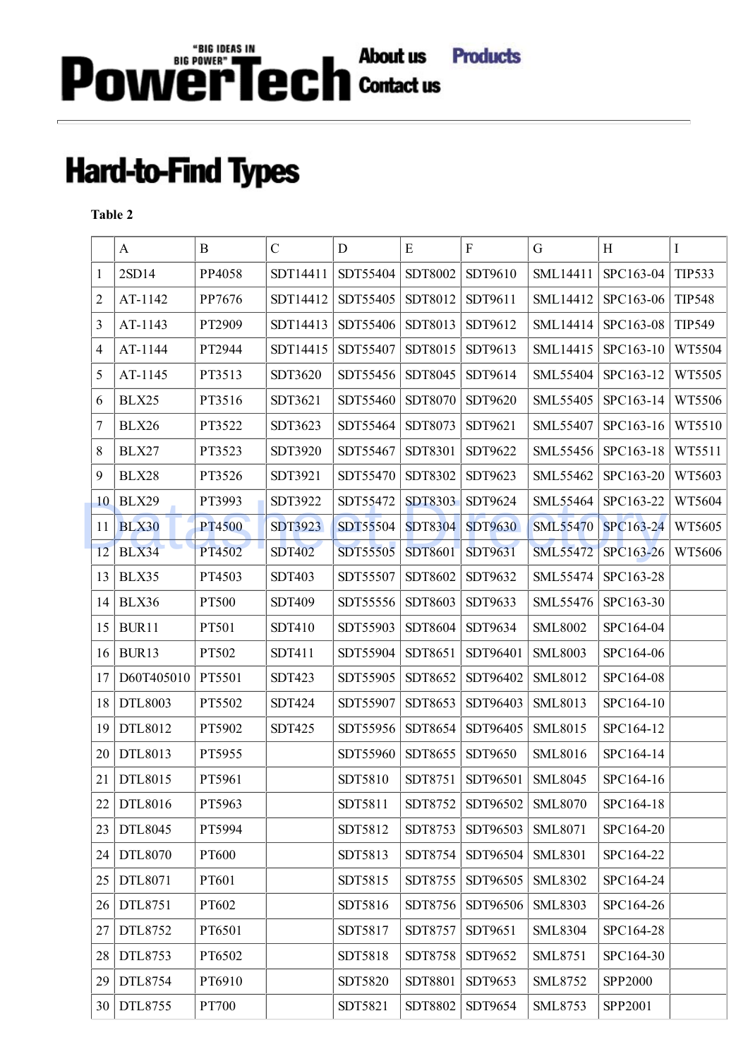## Power Tech contact us Products

## **Hard-to-Find Types**

## **Table 2**

|                | $\mathbf{A}$ | B      | $\mathcal{C}$ | D        | ${\bf E}$      | $\rm F$        | $\mathbf G$     | H         | $\bf{I}$      |
|----------------|--------------|--------|---------------|----------|----------------|----------------|-----------------|-----------|---------------|
| 1              | 2SD14        | PP4058 | SDT14411      | SDT55404 | SDT8002        | SDT9610        | SML14411        | SPC163-04 | <b>TIP533</b> |
| $\overline{2}$ | AT-1142      | PP7676 | SDT14412      | SDT55405 | SDT8012        | SDT9611        | SML14412        | SPC163-06 | <b>TIP548</b> |
| 3              | AT-1143      | PT2909 | SDT14413      | SDT55406 | SDT8013        | SDT9612        | SML14414        | SPC163-08 | <b>TIP549</b> |
| 4              | AT-1144      | PT2944 | SDT14415      | SDT55407 | SDT8015        | SDT9613        | SML14415        | SPC163-10 | WT5504        |
| 5              | AT-1145      | PT3513 | SDT3620       | SDT55456 | SDT8045        | SDT9614        | SML55404        | SPC163-12 | WT5505        |
| 6              | BLX25        | PT3516 | SDT3621       | SDT55460 | SDT8070        | SDT9620        | SML55405        | SPC163-14 | WT5506        |
| 7              | BLX26        | PT3522 | SDT3623       | SDT55464 | SDT8073        | SDT9621        | SML55407        | SPC163-16 | WT5510        |
| 8              | BLX27        | PT3523 | SDT3920       | SDT55467 | SDT8301        | SDT9622        | SML55456        | SPC163-18 | WT5511        |
| 9              | BLX28        | PT3526 | SDT3921       | SDT55470 | SDT8302        | SDT9623        | SML55462        | SPC163-20 | WT5603        |
| 10             | BLX29        | PT3993 | SDT3922       | SDT55472 | <b>SDT8303</b> | SDT9624        | <b>SML55464</b> | SPC163-22 | WT5604        |
| 11             | <b>BLX30</b> | PT4500 | SDT3923       | SDT55504 | <b>SDT8304</b> | <b>SDT9630</b> | <b>SML55470</b> | SPC163-24 | WT5605        |
| 12             | BLX34        | PT4502 | <b>SDT402</b> | SDT55505 | SDT8601        | SDT9631        | <b>SML55472</b> | SPC163-26 | WT5606        |
| 13             | BLX35        | PT4503 | SDT403        | SDT55507 | SDT8602        | SDT9632        | SML55474        | SPC163-28 |               |
| 14             | BLX36        | PT500  | SDT409        | SDT55556 | SDT8603        | SDT9633        | SML55476        | SPC163-30 |               |
| 15             | BUR11        | PT501  | SDT410        | SDT55903 | SDT8604        | SDT9634        | <b>SML8002</b>  | SPC164-04 |               |
| 16             | BUR13        | PT502  | SDT411        | SDT55904 | SDT8651        | SDT96401       | <b>SML8003</b>  | SPC164-06 |               |
| 17             | D60T405010   | PT5501 | SDT423        | SDT55905 | SDT8652        | SDT96402       | SML8012         | SPC164-08 |               |
| 18             | DTL8003      | PT5502 | <b>SDT424</b> | SDT55907 | SDT8653        | SDT96403       | SML8013         | SPC164-10 |               |
| 19             | DTL8012      | PT5902 | SDT425        | SDT55956 | SDT8654        | SDT96405       | SML8015         | SPC164-12 |               |
| 20             | DTL8013      | PT5955 |               | SDT55960 | SDT8655        | SDT9650        | SML8016         | SPC164-14 |               |
| 21             | DTL8015      | PT5961 |               | SDT5810  | SDT8751        | SDT96501       | <b>SML8045</b>  | SPC164-16 |               |
| 22             | DTL8016      | PT5963 |               | SDT5811  | SDT8752        | SDT96502       | <b>SML8070</b>  | SPC164-18 |               |
| 23             | DTL8045      | PT5994 |               | SDT5812  | SDT8753        | SDT96503       | SML8071         | SPC164-20 |               |
| 24             | DTL8070      | PT600  |               | SDT5813  | SDT8754        | SDT96504       | <b>SML8301</b>  | SPC164-22 |               |
| 25             | DTL8071      | PT601  |               | SDT5815  | SDT8755        | SDT96505       | <b>SML8302</b>  | SPC164-24 |               |
| 26             | DTL8751      | PT602  |               | SDT5816  | SDT8756        | SDT96506       | <b>SML8303</b>  | SPC164-26 |               |
| 27             | DTL8752      | PT6501 |               | SDT5817  | SDT8757        | SDT9651        | <b>SML8304</b>  | SPC164-28 |               |
| 28             | DTL8753      | PT6502 |               | SDT5818  | SDT8758        | SDT9652        | SML8751         | SPC164-30 |               |
| 29             | DTL8754      | PT6910 |               | SDT5820  | SDT8801        | SDT9653        | SML8752         | SPP2000   |               |
| 30             | DTL8755      | PT700  |               | SDT5821  | SDT8802        | SDT9654        | <b>SML8753</b>  | SPP2001   |               |